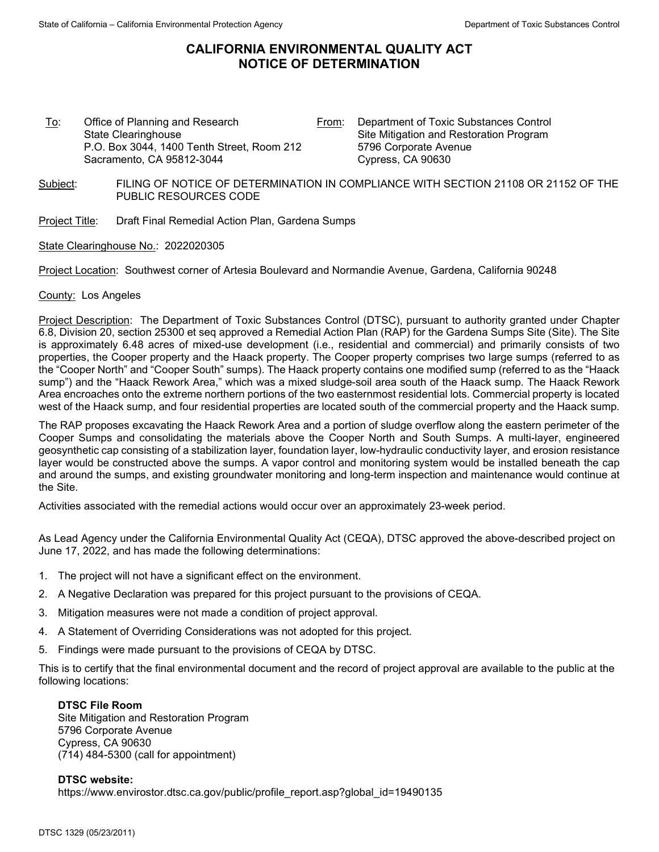# **CALIFORNIA ENVIRONMENTAL QUALITY ACT NOTICE OF DETERMINATION**

To: Office of Planning and Research State Clearinghouse P.O. Box 3044, 1400 Tenth Street, Room 212 Sacramento, CA 95812-3044

From: Department of Toxic Substances Control Site Mitigation and Restoration Program 5796 Corporate Avenue Cypress, CA 90630

- Subject: FILING OF NOTICE OF DETERMINATION IN COMPLIANCE WITH SECTION 21108 OR 21152 OF THE PUBLIC RESOURCES CODE
- Project Title: Draft Final Remedial Action Plan, Gardena Sumps

State Clearinghouse No.: 2022020305

Project Location: Southwest corner of Artesia Boulevard and Normandie Avenue, Gardena, California 90248

### County: Los Angeles

Project Description: The Department of Toxic Substances Control (DTSC), pursuant to authority granted under Chapter 6.8, Division 20, section 25300 et seq approved a Remedial Action Plan (RAP) for the Gardena Sumps Site (Site). The Site is approximately 6.48 acres of mixed-use development (i.e., residential and commercial) and primarily consists of two properties, the Cooper property and the Haack property. The Cooper property comprises two large sumps (referred to as the "Cooper North" and "Cooper South" sumps). The Haack property contains one modified sump (referred to as the "Haack sump") and the "Haack Rework Area," which was a mixed sludge-soil area south of the Haack sump. The Haack Rework Area encroaches onto the extreme northern portions of the two easternmost residential lots. Commercial property is located west of the Haack sump, and four residential properties are located south of the commercial property and the Haack sump.

The RAP proposes excavating the Haack Rework Area and a portion of sludge overflow along the eastern perimeter of the Cooper Sumps and consolidating the materials above the Cooper North and South Sumps. A multi-layer, engineered geosynthetic cap consisting of a stabilization layer, foundation layer, low-hydraulic conductivity layer, and erosion resistance layer would be constructed above the sumps. A vapor control and monitoring system would be installed beneath the cap and around the sumps, and existing groundwater monitoring and long-term inspection and maintenance would continue at the Site.

Activities associated with the remedial actions would occur over an approximately 23-week period.

As Lead Agency under the California Environmental Quality Act (CEQA), DTSC approved the above-described project on June 17, 2022, and has made the following determinations:

- 1. The project will not have a significant effect on the environment.
- 2. A Negative Declaration was prepared for this project pursuant to the provisions of CEQA.
- 3. Mitigation measures were not made a condition of project approval.
- 4. A Statement of Overriding Considerations was not adopted for this project.
- 5. Findings were made pursuant to the provisions of CEQA by DTSC.

This is to certify that the final environmental document and the record of project approval are available to the public at the following locations:

#### **DTSC File Room**

Site Mitigation and Restoration Program 5796 Corporate Avenue Cypress, CA 90630 (714) 484-5300 (call for appointment)

#### **DTSC website:**

https://www.envirostor.dtsc.ca.gov/public/profile\_report.asp?global\_id=19490135